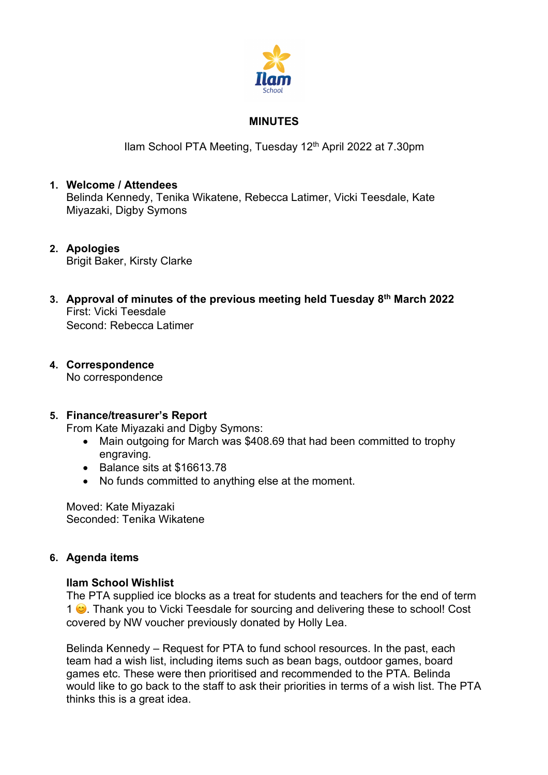

## **MINUTES**

Ilam School PTA Meeting, Tuesday 12<sup>th</sup> April 2022 at 7.30pm

### **1. Welcome / Attendees** Belinda Kennedy, Tenika Wikatene, Rebecca Latimer, Vicki Teesdale, Kate Miyazaki, Digby Symons

- **2. Apologies** Brigit Baker, Kirsty Clarke
- **3. Approval of minutes of the previous meeting held Tuesday 8th March 2022** First: Vicki Teesdale Second: Rebecca Latimer
- **4. Correspondence** No correspondence

# **5. Finance/treasurer's Report**

From Kate Miyazaki and Digby Symons:

- Main outgoing for March was \$408.69 that had been committed to trophy engraving.
- Balance sits at \$16613.78
- No funds committed to anything else at the moment.

Moved: Kate Miyazaki Seconded: Tenika Wikatene

## **6. Agenda items**

## **Ilam School Wishlist**

The PTA supplied ice blocks as a treat for students and teachers for the end of term 1  $\bullet$ . Thank you to Vicki Teesdale for sourcing and delivering these to school! Cost covered by NW voucher previously donated by Holly Lea.

Belinda Kennedy – Request for PTA to fund school resources. In the past, each team had a wish list, including items such as bean bags, outdoor games, board games etc. These were then prioritised and recommended to the PTA. Belinda would like to go back to the staff to ask their priorities in terms of a wish list. The PTA thinks this is a great idea.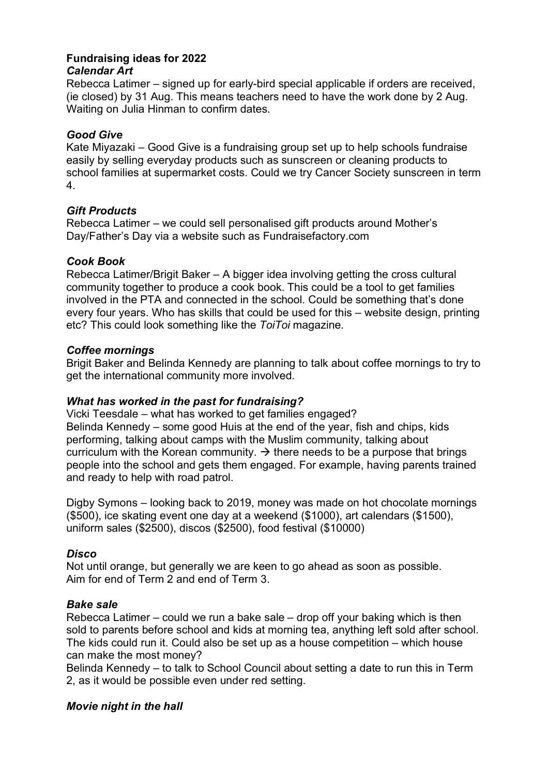#### **Fundraising ideas for 2022** *Calendar Art*

Rebecca Latimer – signed up for early-bird special applicable if orders are received, (ie closed) by 31 Aug. This means teachers need to have the work done by 2 Aug. Waiting on Julia Hinman to confirm dates.

### *Good Give*

Kate Miyazaki – Good Give is a fundraising group set up to help schools fundraise easily by selling everyday products such as sunscreen or cleaning products to school families at supermarket costs. Could we try Cancer Society sunscreen in term 4.

### *Gift Products*

Rebecca Latimer – we could sell personalised gift products around Mother's Day/Father's Day via a website such as Fundraisefactory.com

### *Cook Book*

Rebecca Latimer/Brigit Baker – A bigger idea involving getting the cross cultural community together to produce a cook book. This could be a tool to get families involved in the PTA and connected in the school. Could be something that's done every four years. Who has skills that could be used for this – website design, printing etc? This could look something like the *ToiToi* magazine*.*

### *Coffee mornings*

Brigit Baker and Belinda Kennedy are planning to talk about coffee mornings to try to get the international community more involved.

## *What has worked in the past for fundraising?*

Vicki Teesdale – what has worked to get families engaged? Belinda Kennedy – some good Huis at the end of the year, fish and chips, kids performing, talking about camps with the Muslim community, talking about curriculum with the Korean community.  $\rightarrow$  there needs to be a purpose that brings people into the school and gets them engaged. For example, having parents trained and ready to help with road patrol.

Digby Symons – looking back to 2019, money was made on hot chocolate mornings (\$500), ice skating event one day at a weekend (\$1000), art calendars (\$1500), uniform sales (\$2500), discos (\$2500), food festival (\$10000)

### *Disco*

Not until orange, but generally we are keen to go ahead as soon as possible. Aim for end of Term 2 and end of Term 3.

### *Bake sale*

Rebecca Latimer – could we run a bake sale – drop off your baking which is then sold to parents before school and kids at morning tea, anything left sold after school. The kids could run it. Could also be set up as a house competition – which house can make the most money?

Belinda Kennedy – to talk to School Council about setting a date to run this in Term 2, as it would be possible even under red setting.

## *Movie night in the hall*